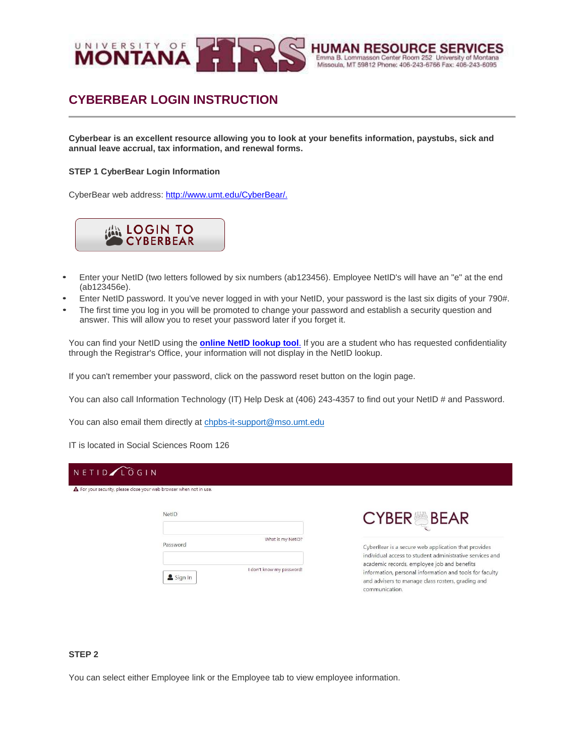

#### **OURCE SERY HUMAN RE** Emma B. Lommasson Center Room 252 University of Montana Missoula, MT 59812 Phone: 406-243-6766 Fax: 406-243-6095

and advisers to manage class rosters, grading and

communication.

# **CYBERBEAR LOGIN INSTRUCTION**

**Cyberbear is an excellent resource allowing you to look at your benefits information, paystubs, sick and annual leave accrual, tax information, and renewal forms.**

#### **STEP 1 CyberBear Login Information**

CyberBear web address[: http://www.umt.edu/CyberBear/.](http://www.umt.edu/cyberbear/)



- Enter your NetID (two letters followed by six numbers (ab123456). Employee NetID's will have an "e" at the end (ab123456e).
- Enter NetID password. It you've never logged in with your NetID, your password is the last six digits of your 790#.
- The first time you log in you will be promoted to change your password and establish a security question and answer. This will allow you to reset your password later if you forget it.

You can find your NetID using the **online [NetID lookup tool](https://user.umt.edu/netidlookup/)**. If you are a student who has requested confidentiality through the Registrar's Office, your information will not display in the NetID lookup.

If you can't remember your password, click on the password reset button on the login page.

You can also call Information Technology (IT) Help Desk at (406) 243-4357 to find out your NetID # and Password.

You can also email them directly at [chpbs-it-support@mso.umt.edu](mailto:chpbs-it-support@mso.umt.edu)

Sign In

IT is located in Social Sciences Room 126

### NETIDALOGIN A For your security, please close your web browser when not in use. NetID **CYBER BEAR** What is my NetID? Password CyberBear is a secure web application that provides individual access to student administrative services and academic records, employee job and benefits I don't know my password! information, personal information and tools for faculty

#### **STEP 2**

You can select either Employee link or the Employee tab to view employee information.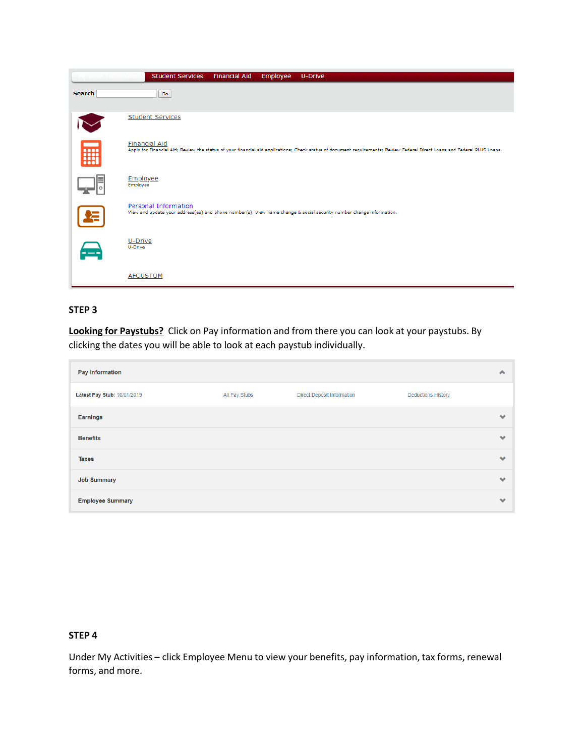|               | <b>Student Services</b><br><b>Financial Aid</b><br>Employee<br><b>U-Drive</b>                                                                                                                     |
|---------------|---------------------------------------------------------------------------------------------------------------------------------------------------------------------------------------------------|
| <b>Search</b> | Go                                                                                                                                                                                                |
|               | <b>Student Services</b>                                                                                                                                                                           |
| <b>Filli</b>  | <b>Financial Aid</b><br>Apply for Financial Aid; Review the status of your financial aid applications; Check status of document requirements; Review Federal Direct Loans and Federal PLUS Loans. |
|               | Employee<br>Employee                                                                                                                                                                              |
|               | Personal Information<br>View and update your address(es) and phone number(s). View name change & social security number change information.                                                       |
| $\bigoplus$   | U-Drive<br>U-Drive                                                                                                                                                                                |
|               | <b>AFCUSTOM</b>                                                                                                                                                                                   |

# **STEP 3**

**Looking for Paystubs?** Click on Pay information and from there you can look at your paystubs. By clicking the dates you will be able to look at each paystub individually.

| Pay Information             |               |                                   |                           |           |
|-----------------------------|---------------|-----------------------------------|---------------------------|-----------|
| Latest Pay Stub: 10/01/2019 | All Pay Stubs | <b>Direct Deposit Information</b> | <b>Deductions History</b> |           |
| <b>Earnings</b>             |               |                                   |                           | $\bullet$ |
| <b>Benefits</b>             |               |                                   |                           | $\bullet$ |
| <b>Taxes</b>                |               |                                   |                           | $\bullet$ |
| <b>Job Summary</b>          |               |                                   |                           | $\bullet$ |
| <b>Employee Summary</b>     |               |                                   |                           | ∾         |

## **STEP 4**

Under My Activities – click Employee Menu to view your benefits, pay information, tax forms, renewal forms, and more.